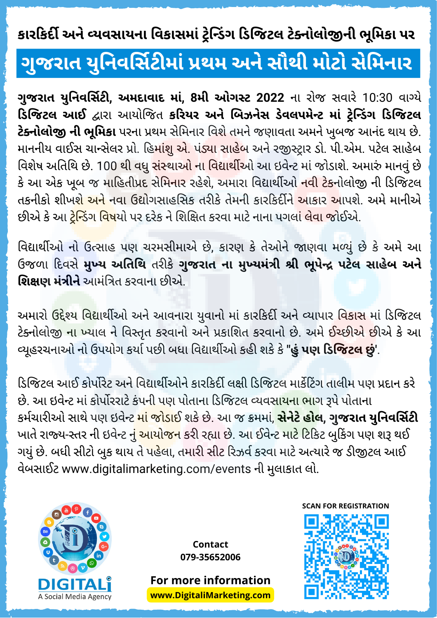## **ગુજરા ત યુનિ વર્સિ ટી માં પ્રથમ અને સૌ થી મો ટો સેમિ ના ર**

**ગુજરા ત યુનિ વર્સિ ટી , અમદા વા દ માં , 8મી ઓગસ્ટ 2022** ના રો જ સવા રે 10:30 વા ગ્યે **ડિ જિ ટલ આઈ** દ્વા રા આયો જિ ત **કરિ યર અને બિ ઝનેસ ડેવલપમેન્ટ માં ટ્રેન્ડિં ગ ડિ જિ ટલ ટેક્નો લો જી ની ભૂમિ કા** પરના પ્રથમ સેમિ ના ર વિ શે તમને જણા વતા અમને ખુબજ આનંદ થા ય છે. માનનીય વાઈસ ચાન્સેલર પ્રો. હિમા<mark>ંશુ એ.</mark> પંડ્<mark>યા સાહે</mark>બ અને રજીસ્ટ્રાર ડો. પી.એમ. પટેલ સાહેબ વિશેષ અતિથિ છે. 100 થી વધુ <mark>સંસ્થાઓ ના વિદ્યાર્થી</mark>ઓ આ ઇવેન્ટ માં જોડાશે. અમારું માનવું છે કે આ એક ખૂબ જ માહિતીપ્રદ સેમિનાર રહેશે, અમારા વિદ્યાર્થીઓ <mark>નવી ટેક</mark>નોલોજી ની ડિજિટલ તકનીકો શીખશ<mark>ે અને</mark> નવા ઉદ્યોગસાહસિક તરીકે તેમની કારકિર્દીને આકાર આપશે. અમે માનીએ છીએ કે આ <mark>ટ્રેન્ડિંગ વિષ</mark>યો પર દરેક ને શિક્ષિત કરવા માટે નાના પગલાં <mark>લેવા જો</mark>ઈએ.

વિદ્યાર્થીઓ નો ઉત્સાહ પણ ચરમસીમાએ છે, કારણ કે તેઓને જાણવા મળ્યું છે કે અમે આ ઉજળા દિ વસે **મુખ્ય અતિ થિ** તરી કે **ગુજરા ત ના મુખ્યમંત્રી શ્રી ભૂપેન્દ્ર પટેલ સા હેબ અને શિ ક્ષણ મંત્રી ને** આમંત્રિ ત કરવા ના છી એ.

અમારો ઉદ્દેશ્ય વિદ્યાર્થીઓ અને આવનારા યુવાનો માં કારકિર્દી અને વ્યાપાર વિ<mark>કાસ</mark> માં ડિજિટલ ટેક્નોલોજી ના ખ્યાલ ને વિસ્તૃત કરવાનો અને પ્રકાશિત કરવાનો છે. અમે ઈ<mark>ચ્છીએ છી</mark>એ કે આ વ્યૂહરચના ઓ નો ઉપયો ગ કર્યા પછી બધા વિ દ્યા ર્થી ઓ કહી શકે કે **"હું પણ ડિ જિ ટલ છું'**.

ડિજિટલ આઈ કોર્પોરેટ અને વિદ્યાર્થીઓને કારકિર્દી લક્ષી ડિજિટલ માર્કેટિંગ તાલીમ પણ પ્રદાન કરે છે. આ ઇવેન્ટ માં કોર્પોરરાટે કંપની પણ પોતાના ડિજિટલ વ્યવસા<mark>યના ભા</mark>ગ રૂપે પોતાના કર્મચા રી ઓ સા થે પણ ઇવેન્ટ માં જો ડા ઈ શકે છે. આ જ ક્રમમાં , **સેનેટે હો લ, ગુજરા ત યુનિ વર્સિ ટી** ખાતે રાજ્ય-સ્તર ની ઇવેન્ટ ન<mark>ું આયોજન</mark> કરી રહ્યા છે. આ ઈવેન્ટ માટે ટિકિટ બુકિંગ પણ શરૂ થઈ ગયું છે. બધી સીટો બુક થાય તે પહેલા, તમારી સીટ રિઝર્વ કરવા માટે અત્યારે જ ડીજીટલ આઈ વેબસાઈટ www.digitalimarketing.com/events ની મુલાકાત લો.



**Contact 079-35652006**

**For more information www.DigitaliMarketing.com**